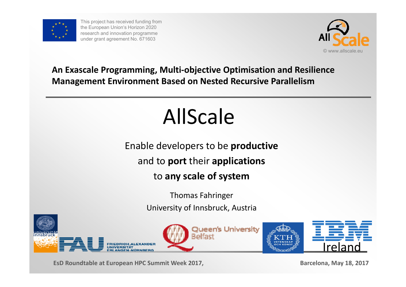

This project has received funding from the European Union's Horizon 2020 research and innovation programme under grant agreement No. 671603



#### **An Exascale Programming, Multi‐objective Optimisation and Resilience Management Environment Based on Nested Recursive Parallelism**

# AllScale

Enable developers to be **productive** and to **port** their **applications**

to **any scale of system**

Thomas Fahringer University of Innsbruck, Austria







**EsD Roundtable at European HPC Summit Week 2017, Barcelona, May 18, 2017**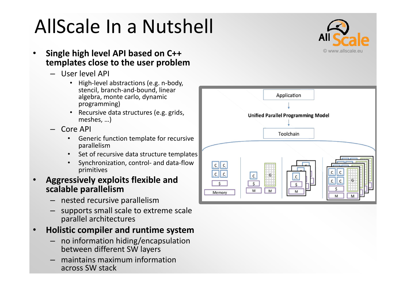# AllScale In <sup>a</sup> Nutshell



- • **Single high level API based on C++ templates close to the user problem**
	- User level API
		- High-level abstractions (e.g. n-body, stencil, branch‐and‐bound, linear algebra, monte carlo, dynamic programming)
		- •• Recursive data structures (e.g. grids, meshes, …)
	- Core API
		- • Generic function template for recursive parallelism
		- •• Set of recursive data structure templates
		- • Synchronization, control‐ and data‐flow primitives
- • **Aggressively exploits flexible and scalable parallelism**
	- nested recursive parallelism
	- supports small scale to extreme scale parallel architectures

#### •**Holistic compiler and runtime system**

- no information hiding/encapsulation between different SW layers
- maintains maximum information across SW stack

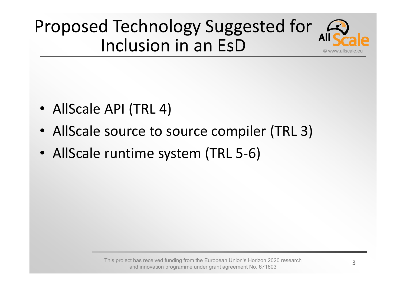

- AllScale API (TRL 4)
- AllScale source to source compiler (TRL 3)
- AllScale runtime system (TRL 5-6)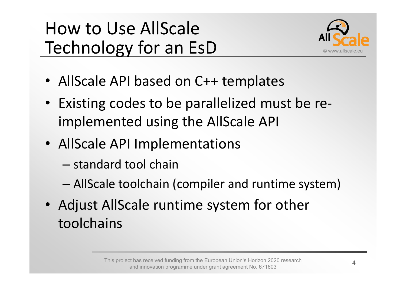## How to Use AllScaleTechnology for an EsD



- AllScale API based on C++ templates
- Existing codes to be parallelized must be re ‐implemented using the AllScale API
- AllScale API Implementations
	- standard tool chain
	- –AllScale toolchain (compiler and runtime system)
- Adjust AllScale runtime system for other toolchains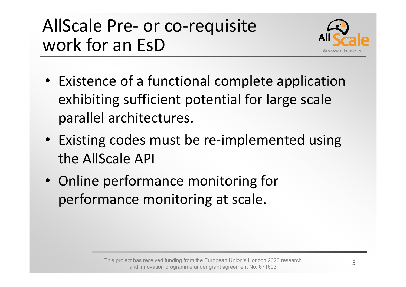#### AllScale Pre ‐ or co ‐requisite work for an EsD



- Existence of a functional complete application exhibiting sufficient potential for large scale parallel architectures.
- Existing codes must be re-implemented using the AllScale API
- Online performance monitoring for performance monitoring at scale.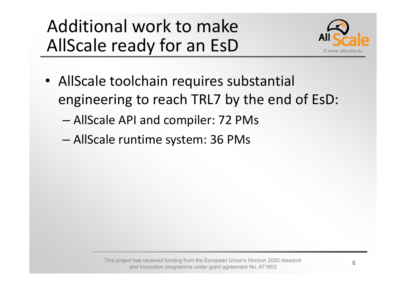## Additional work to makeAllScale ready for an EsD



- AllScale toolchain requires substantial engineering to reach TRL7 by the end of EsD:
	- –AllScale API and compiler: 72 PMs
	- –AllScale runtime system: 36 PMs